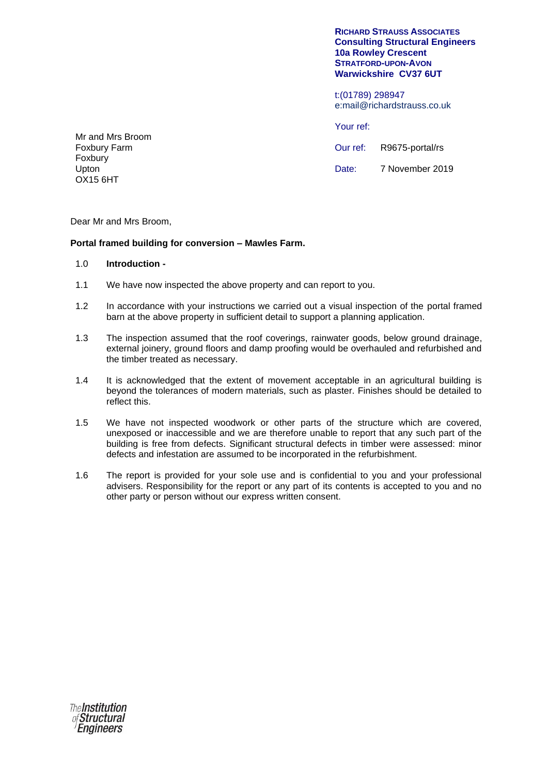#### **RICHARD STRAUSS ASSOCIATES Consulting Structural Engineers 10a Rowley Crescent STRATFORD-UPON-AVON Warwickshire CV37 6UT**

t:(01789) 298947 e:mail@richardstrauss.co.uk

Your ref:

Our ref: Date: R9675-portal/rs 7 November 2019

Mr and Mrs Broom Foxbury Farm Foxbury Upton OX15 6HT

Dear Mr and Mrs Broom,

# **Portal framed building for conversion – Mawles Farm.**

### 1.0 **Introduction -**

- 1.1 We have now inspected the above property and can report to you.
- 1.2 In accordance with your instructions we carried out a visual inspection of the portal framed barn at the above property in sufficient detail to support a planning application.
- 1.3 The inspection assumed that the roof coverings, rainwater goods, below ground drainage, external joinery, ground floors and damp proofing would be overhauled and refurbished and the timber treated as necessary.
- 1.4 It is acknowledged that the extent of movement acceptable in an agricultural building is beyond the tolerances of modern materials, such as plaster. Finishes should be detailed to reflect this.
- 1.5 We have not inspected woodwork or other parts of the structure which are covered, unexposed or inaccessible and we are therefore unable to report that any such part of the building is free from defects. Significant structural defects in timber were assessed: minor defects and infestation are assumed to be incorporated in the refurbishment.
- 1.6 The report is provided for your sole use and is confidential to you and your professional advisers. Responsibility for the report or any part of its contents is accepted to you and no other party or person without our express written consent.

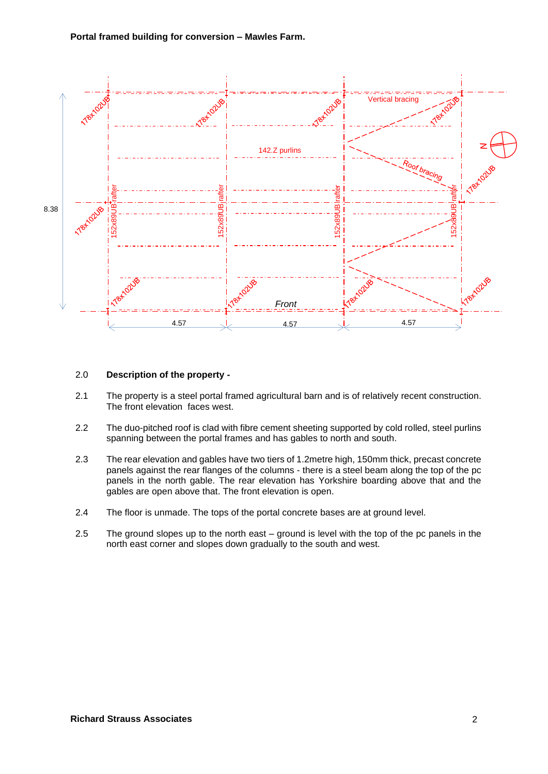

## 2.0 **Description of the property -**

- 2.1 The property is a steel portal framed agricultural barn and is of relatively recent construction. The front elevation faces west.
- 2.2 The duo-pitched roof is clad with fibre cement sheeting supported by cold rolled, steel purlins spanning between the portal frames and has gables to north and south.
- 2.3 The rear elevation and gables have two tiers of 1.2metre high, 150mm thick, precast concrete panels against the rear flanges of the columns - there is a steel beam along the top of the pc panels in the north gable. The rear elevation has Yorkshire boarding above that and the gables are open above that. The front elevation is open.
- 2.4 The floor is unmade. The tops of the portal concrete bases are at ground level.
- 2.5 The ground slopes up to the north east – ground is level with the top of the pc panels in the north east corner and slopes down gradually to the south and west.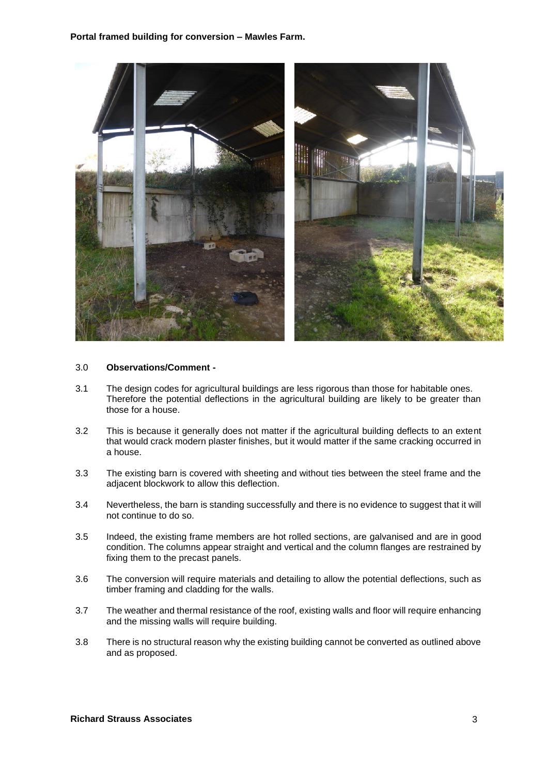

### 3.0 **Observations/Comment -**

- 3.1 The design codes for agricultural buildings are less rigorous than those for habitable ones. Therefore the potential deflections in the agricultural building are likely to be greater than those for a house.
- 3.2 This is because it generally does not matter if the agricultural building deflects to an extent that would crack modern plaster finishes, but it would matter if the same cracking occurred in a house.
- 3.3 The existing barn is covered with sheeting and without ties between the steel frame and the adjacent blockwork to allow this deflection.
- 3.4 Nevertheless, the barn is standing successfully and there is no evidence to suggest that it will not continue to do so.
- 3.5 Indeed, the existing frame members are hot rolled sections, are galvanised and are in good condition. The columns appear straight and vertical and the column flanges are restrained by fixing them to the precast panels.
- 3.6 The conversion will require materials and detailing to allow the potential deflections, such as timber framing and cladding for the walls.
- 3.7 The weather and thermal resistance of the roof, existing walls and floor will require enhancing and the missing walls will require building.
- 3.8 There is no structural reason why the existing building cannot be converted as outlined above and as proposed.